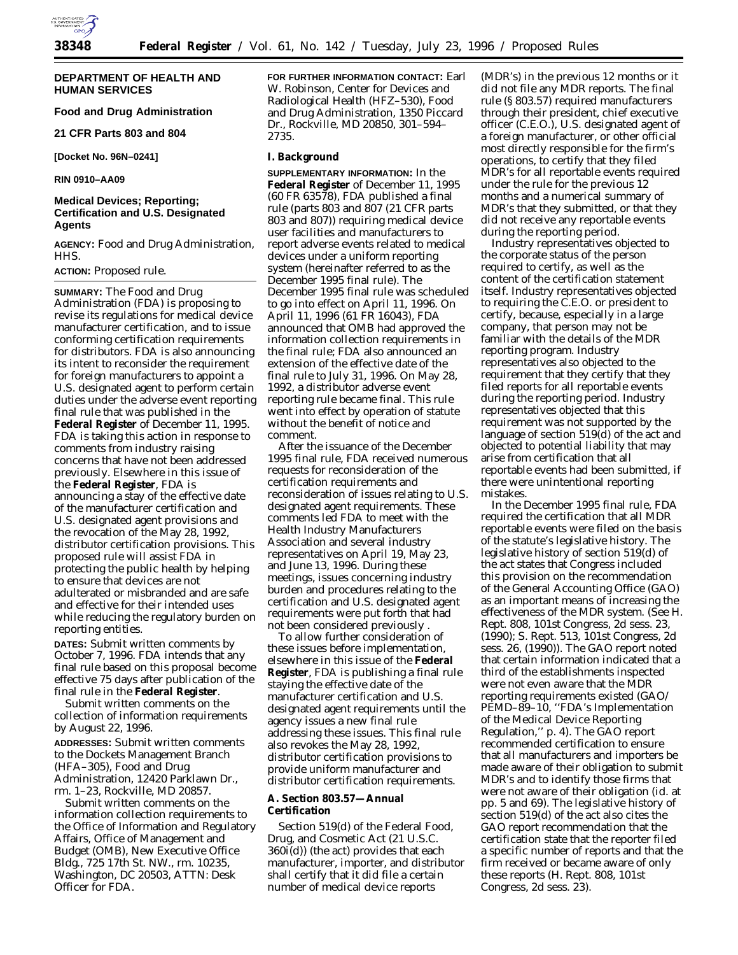

# **DEPARTMENT OF HEALTH AND HUMAN SERVICES**

# **Food and Drug Administration**

**21 CFR Parts 803 and 804**

**[Docket No. 96N–0241]**

**RIN 0910–AA09**

# **Medical Devices; Reporting; Certification and U.S. Designated Agents**

**AGENCY:** Food and Drug Administration, HHS.

### **ACTION:** Proposed rule.

**SUMMARY:** The Food and Drug Administration (FDA) is proposing to revise its regulations for medical device manufacturer certification, and to issue conforming certification requirements for distributors. FDA is also announcing its intent to reconsider the requirement for foreign manufacturers to appoint a U.S. designated agent to perform certain duties under the adverse event reporting final rule that was published in the **Federal Register** of December 11, 1995. FDA is taking this action in response to comments from industry raising concerns that have not been addressed previously. Elsewhere in this issue of the **Federal Register**, FDA is announcing a stay of the effective date of the manufacturer certification and U.S. designated agent provisions and the revocation of the May 28, 1992, distributor certification provisions. This proposed rule will assist FDA in protecting the public health by helping to ensure that devices are not adulterated or misbranded and are safe and effective for their intended uses while reducing the regulatory burden on reporting entities.

**DATES:** Submit written comments by October 7, 1996. FDA intends that any final rule based on this proposal become effective 75 days after publication of the final rule in the **Federal Register**.

Submit written comments on the collection of information requirements by August 22, 1996.

**ADDRESSES:** Submit written comments to the Dockets Management Branch (HFA–305), Food and Drug Administration, 12420 Parklawn Dr., rm. 1–23, Rockville, MD 20857.

Submit written comments on the information collection requirements to the Office of Information and Regulatory Affairs, Office of Management and Budget (OMB), New Executive Office Bldg., 725 17th St. NW., rm. 10235, Washington, DC 20503, ATTN: Desk Officer for FDA.

**FOR FURTHER INFORMATION CONTACT:** Earl W. Robinson, Center for Devices and Radiological Health (HFZ–530), Food and Drug Administration, 1350 Piccard Dr., Rockville, MD 20850, 301–594– 2735.

### **I. Background**

**SUPPLEMENTARY INFORMATION:** In the **Federal Register** of December 11, 1995 (60 FR 63578), FDA published a final rule (parts 803 and 807 (21 CFR parts 803 and 807)) requiring medical device user facilities and manufacturers to report adverse events related to medical devices under a uniform reporting system (hereinafter referred to as the December 1995 final rule). The December 1995 final rule was scheduled to go into effect on April 11, 1996. On April 11, 1996 (61 FR 16043), FDA announced that OMB had approved the information collection requirements in the final rule; FDA also announced an extension of the effective date of the final rule to July 31, 1996. On May 28, 1992, a distributor adverse event reporting rule became final. This rule went into effect by operation of statute without the benefit of notice and comment.

After the issuance of the December 1995 final rule, FDA received numerous requests for reconsideration of the certification requirements and reconsideration of issues relating to U.S. designated agent requirements. These comments led FDA to meet with the Health Industry Manufacturers Association and several industry representatives on April 19, May 23, and June 13, 1996. During these meetings, issues concerning industry burden and procedures relating to the certification and U.S. designated agent requirements were put forth that had not been considered previously .

To allow further consideration of these issues before implementation, elsewhere in this issue of the **Federal Register**, FDA is publishing a final rule staying the effective date of the manufacturer certification and U.S. designated agent requirements until the agency issues a new final rule addressing these issues. This final rule also revokes the May 28, 1992, distributor certification provisions to provide uniform manufacturer and distributor certification requirements.

### **A. Section 803.57—Annual Certification**

Section 519(d) of the Federal Food, Drug, and Cosmetic Act (21 U.S.C. 360i(d)) (the act) provides that each manufacturer, importer, and distributor shall certify that it did file a certain number of medical device reports

(MDR's) in the previous 12 months or it did not file any MDR reports. The final rule (§ 803.57) required manufacturers through their president, chief executive officer (C.E.O.), U.S. designated agent of a foreign manufacturer, or other official most directly responsible for the firm's operations, to certify that they filed MDR's for all reportable events required under the rule for the previous 12 months and a numerical summary of MDR's that they submitted, or that they did not receive any reportable events during the reporting period.

Industry representatives objected to the corporate status of the person required to certify, as well as the content of the certification statement itself. Industry representatives objected to requiring the C.E.O. or president to certify, because, especially in a large company, that person may not be familiar with the details of the MDR reporting program. Industry representatives also objected to the requirement that they certify that they filed reports for all reportable events during the reporting period. Industry representatives objected that this requirement was not supported by the language of section 519(d) of the act and objected to potential liability that may arise from certification that all reportable events had been submitted, if there were unintentional reporting mistakes.

In the December 1995 final rule, FDA required the certification that all MDR reportable events were filed on the basis of the statute's legislative history. The legislative history of section 519(d) of the act states that Congress included this provision on the recommendation of the General Accounting Office (GAO) as an important means of increasing the effectiveness of the MDR system. (See H. Rept. 808, 101st Congress, 2d sess. 23, (1990); S. Rept. 513, 101st Congress, 2d sess. 26, (1990)). The GAO report noted that certain information indicated that a third of the establishments inspected were not even aware that the MDR reporting requirements existed (GAO/ PEMD–89–10, "FDA's Implementation of the Medical Device Reporting Regulation,'' p. 4). The GAO report recommended certification to ensure that all manufacturers and importers be made aware of their obligation to submit MDR's and to identify those firms that were not aware of their obligation (id. at pp. 5 and 69). The legislative history of section 519(d) of the act also cites the GAO report recommendation that the certification state that the reporter filed a specific number of reports and that the firm received or became aware of only these reports (H. Rept. 808, 101st Congress, 2d sess. 23).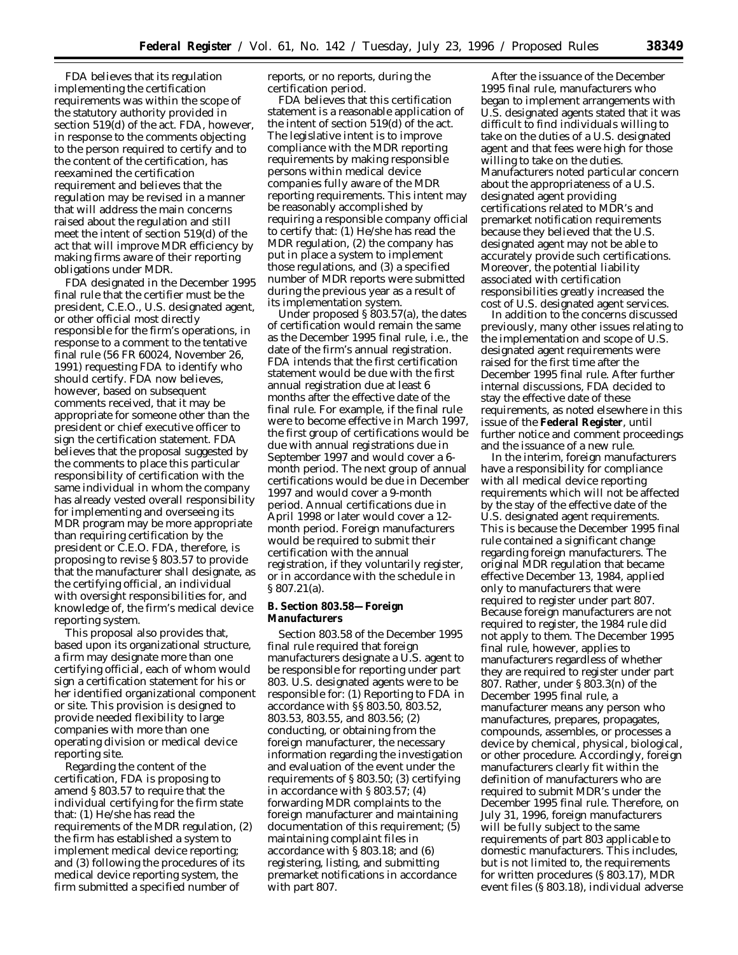FDA believes that its regulation implementing the certification requirements was within the scope of the statutory authority provided in section 519(d) of the act. FDA, however, in response to the comments objecting to the person required to certify and to the content of the certification, has reexamined the certification requirement and believes that the regulation may be revised in a manner that will address the main concerns raised about the regulation and still meet the intent of section 519(d) of the act that will improve MDR efficiency by making firms aware of their reporting obligations under MDR.

FDA designated in the December 1995 final rule that the certifier must be the president, C.E.O., U.S. designated agent, or other official most directly responsible for the firm's operations, in response to a comment to the tentative final rule (56 FR 60024, November 26, 1991) requesting FDA to identify who should certify. FDA now believes, however, based on subsequent comments received, that it may be appropriate for someone other than the president or chief executive officer to sign the certification statement. FDA believes that the proposal suggested by the comments to place this particular responsibility of certification with the same individual in whom the company has already vested overall responsibility for implementing and overseeing its MDR program may be more appropriate than requiring certification by the president or C.E.O. FDA, therefore, is proposing to revise § 803.57 to provide that the manufacturer shall designate, as the certifying official, an individual with oversight responsibilities for, and knowledge of, the firm's medical device reporting system.

This proposal also provides that, based upon its organizational structure, a firm may designate more than one certifying official, each of whom would sign a certification statement for his or her identified organizational component or site. This provision is designed to provide needed flexibility to large companies with more than one operating division or medical device reporting site.

Regarding the content of the certification, FDA is proposing to amend § 803.57 to require that the individual certifying for the firm state that: (1) He/she has read the requirements of the MDR regulation, (2) the firm has established a system to implement medical device reporting; and (3) following the procedures of its medical device reporting system, the firm submitted a specified number of

reports, or no reports, during the certification period.

FDA believes that this certification statement is a reasonable application of the intent of section 519(d) of the act. The legislative intent is to improve compliance with the MDR reporting requirements by making responsible persons within medical device companies fully aware of the MDR reporting requirements. This intent may be reasonably accomplished by requiring a responsible company official to certify that: (1) He/she has read the MDR regulation, (2) the company has put in place a system to implement those regulations, and (3) a specified number of MDR reports were submitted during the previous year as a result of its implementation system.

Under proposed § 803.57(a), the dates of certification would remain the same as the December 1995 final rule, i.e., the date of the firm's annual registration. FDA intends that the first certification statement would be due with the first annual registration due at least 6 months after the effective date of the final rule. For example, if the final rule were to become effective in March 1997, the first group of certifications would be due with annual registrations due in September 1997 and would cover a 6 month period. The next group of annual certifications would be due in December 1997 and would cover a 9-month period. Annual certifications due in April 1998 or later would cover a 12 month period. Foreign manufacturers would be required to submit their certification with the annual registration, if they voluntarily register, or in accordance with the schedule in § 807.21(a).

### **B. Section 803.58—Foreign Manufacturers**

Section 803.58 of the December 1995 final rule required that foreign manufacturers designate a U.S. agent to be responsible for reporting under part 803. U.S. designated agents were to be responsible for: (1) Reporting to FDA in accordance with §§ 803.50, 803.52, 803.53, 803.55, and 803.56; (2) conducting, or obtaining from the foreign manufacturer, the necessary information regarding the investigation and evaluation of the event under the requirements of § 803.50; (3) certifying in accordance with § 803.57; (4) forwarding MDR complaints to the foreign manufacturer and maintaining documentation of this requirement; (5) maintaining complaint files in accordance with § 803.18; and (6) registering, listing, and submitting premarket notifications in accordance with part 807.

After the issuance of the December 1995 final rule, manufacturers who began to implement arrangements with U.S. designated agents stated that it was difficult to find individuals willing to take on the duties of a U.S. designated agent and that fees were high for those willing to take on the duties. Manufacturers noted particular concern about the appropriateness of a U.S. designated agent providing certifications related to MDR's and premarket notification requirements because they believed that the U.S. designated agent may not be able to accurately provide such certifications. Moreover, the potential liability associated with certification responsibilities greatly increased the cost of U.S. designated agent services.

In addition to the concerns discussed previously, many other issues relating to the implementation and scope of U.S. designated agent requirements were raised for the first time after the December 1995 final rule. After further internal discussions, FDA decided to stay the effective date of these requirements, as noted elsewhere in this issue of the **Federal Register**, until further notice and comment proceedings and the issuance of a new rule.

In the interim, foreign manufacturers have a responsibility for compliance with all medical device reporting requirements which will not be affected by the stay of the effective date of the U.S. designated agent requirements. This is because the December 1995 final rule contained a significant change regarding foreign manufacturers. The original MDR regulation that became effective December 13, 1984, applied only to manufacturers that were required to register under part 807. Because foreign manufacturers are not required to register, the 1984 rule did not apply to them. The December 1995 final rule, however, applies to manufacturers regardless of whether they are required to register under part 807. Rather, under § 803.3(n) of the December 1995 final rule, a manufacturer means any person who manufactures, prepares, propagates, compounds, assembles, or processes a device by chemical, physical, biological, or other procedure. Accordingly, foreign manufacturers clearly fit within the definition of manufacturers who are required to submit MDR's under the December 1995 final rule. Therefore, on July 31, 1996, foreign manufacturers will be fully subject to the same requirements of part 803 applicable to domestic manufacturers. This includes, but is not limited to, the requirements for written procedures (§ 803.17), MDR event files (§ 803.18), individual adverse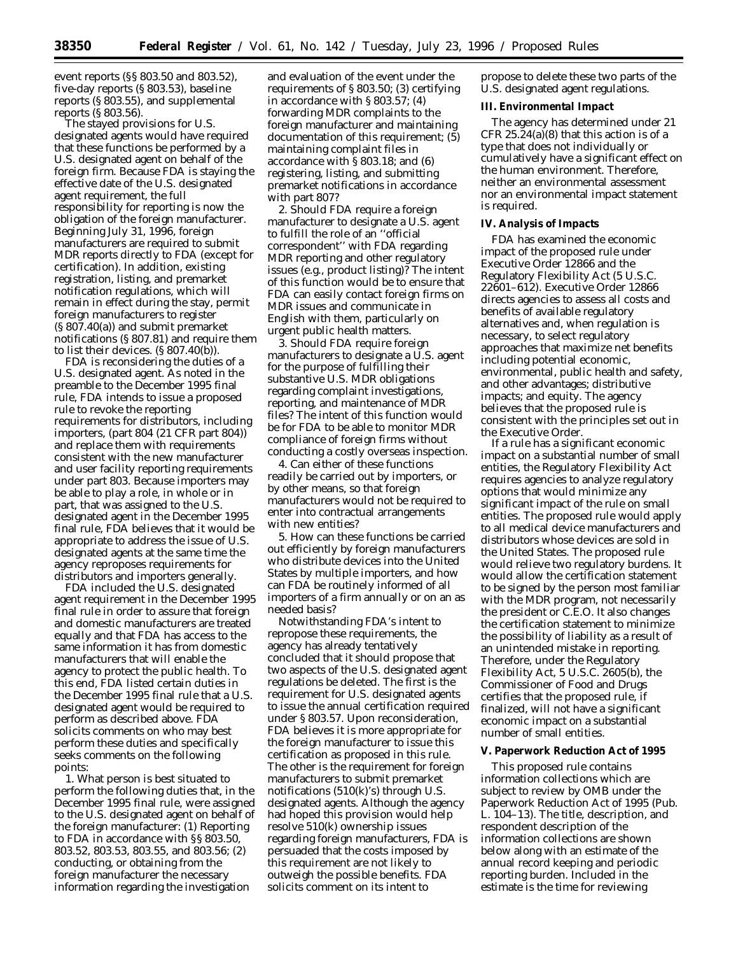event reports (§§ 803.50 and 803.52), five-day reports (§ 803.53), baseline reports (§ 803.55), and supplemental reports (§ 803.56).

The stayed provisions for U.S. designated agents would have required that these functions be performed by a U.S. designated agent on behalf of the foreign firm. Because FDA is staying the effective date of the U.S. designated agent requirement, the full responsibility for reporting is now the obligation of the foreign manufacturer. Beginning July 31, 1996, foreign manufacturers are required to submit MDR reports directly to FDA (except for certification). In addition, existing registration, listing, and premarket notification regulations, which will remain in effect during the stay, permit foreign manufacturers to register (§ 807.40(a)) and submit premarket notifications (§ 807.81) and require them to list their devices. (§ 807.40(b)).

FDA is reconsidering the duties of a U.S. designated agent. As noted in the preamble to the December 1995 final rule, FDA intends to issue a proposed rule to revoke the reporting requirements for distributors, including importers, (part 804 (21 CFR part 804)) and replace them with requirements consistent with the new manufacturer and user facility reporting requirements under part 803. Because importers may be able to play a role, in whole or in part, that was assigned to the U.S. designated agent in the December 1995 final rule, FDA believes that it would be appropriate to address the issue of U.S. designated agents at the same time the agency reproposes requirements for distributors and importers generally.

FDA included the U.S. designated agent requirement in the December 1995 final rule in order to assure that foreign and domestic manufacturers are treated equally and that FDA has access to the same information it has from domestic manufacturers that will enable the agency to protect the public health. To this end, FDA listed certain duties in the December 1995 final rule that a U.S. designated agent would be required to perform as described above. FDA solicits comments on who may best perform these duties and specifically seeks comments on the following points:

1. What person is best situated to perform the following duties that, in the December 1995 final rule, were assigned to the U.S. designated agent on behalf of the foreign manufacturer: (1) Reporting to FDA in accordance with §§ 803.50, 803.52, 803.53, 803.55, and 803.56; (2) conducting, or obtaining from the foreign manufacturer the necessary information regarding the investigation

and evaluation of the event under the requirements of § 803.50; (3) certifying in accordance with § 803.57; (4) forwarding MDR complaints to the foreign manufacturer and maintaining documentation of this requirement; (5) maintaining complaint files in accordance with § 803.18; and (6) registering, listing, and submitting premarket notifications in accordance with part 807?

2. Should FDA require a foreign manufacturer to designate a U.S. agent to fulfill the role of an ''official correspondent'' with FDA regarding MDR reporting and other regulatory issues (e.g., product listing)? The intent of this function would be to ensure that FDA can easily contact foreign firms on MDR issues and communicate in English with them, particularly on urgent public health matters.

3. Should FDA require foreign manufacturers to designate a U.S. agent for the purpose of fulfilling their substantive U.S. MDR obligations regarding complaint investigations, reporting, and maintenance of MDR files? The intent of this function would be for FDA to be able to monitor MDR compliance of foreign firms without conducting a costly overseas inspection.

4. Can either of these functions readily be carried out by importers, or by other means, so that foreign manufacturers would not be required to enter into contractual arrangements with new entities?

5. How can these functions be carried out efficiently by foreign manufacturers who distribute devices into the United States by multiple importers, and how can FDA be routinely informed of all importers of a firm annually or on an as needed basis?

Notwithstanding FDA's intent to repropose these requirements, the agency has already tentatively concluded that it should propose that two aspects of the U.S. designated agent regulations be deleted. The first is the requirement for U.S. designated agents to issue the annual certification required under § 803.57. Upon reconsideration, FDA believes it is more appropriate for the foreign manufacturer to issue this certification as proposed in this rule. The other is the requirement for foreign manufacturers to submit premarket notifications (510(k)'s) through U.S. designated agents. Although the agency had hoped this provision would help resolve 510(k) ownership issues regarding foreign manufacturers, FDA is persuaded that the costs imposed by this requirement are not likely to outweigh the possible benefits. FDA solicits comment on its intent to

propose to delete these two parts of the U.S. designated agent regulations.

#### **III. Environmental Impact**

The agency has determined under 21 CFR  $25.24(a)(8)$  that this action is of a type that does not individually or cumulatively have a significant effect on the human environment. Therefore, neither an environmental assessment nor an environmental impact statement is required.

### **IV. Analysis of Impacts**

FDA has examined the economic impact of the proposed rule under Executive Order 12866 and the Regulatory Flexibility Act (5 U.S.C. 22601–612). Executive Order 12866 directs agencies to assess all costs and benefits of available regulatory alternatives and, when regulation is necessary, to select regulatory approaches that maximize net benefits including potential economic, environmental, public health and safety, and other advantages; distributive impacts; and equity. The agency believes that the proposed rule is consistent with the principles set out in the Executive Order.

If a rule has a significant economic impact on a substantial number of small entities, the Regulatory Flexibility Act requires agencies to analyze regulatory options that would minimize any significant impact of the rule on small entities. The proposed rule would apply to all medical device manufacturers and distributors whose devices are sold in the United States. The proposed rule would relieve two regulatory burdens. It would allow the certification statement to be signed by the person most familiar with the MDR program, not necessarily the president or C.E.O. It also changes the certification statement to minimize the possibility of liability as a result of an unintended mistake in reporting. Therefore, under the Regulatory Flexibility Act, 5 U.S.C. 2605(b), the Commissioner of Food and Drugs certifies that the proposed rule, if finalized, will not have a significant economic impact on a substantial number of small entities.

### **V. Paperwork Reduction Act of 1995**

This proposed rule contains information collections which are subject to review by OMB under the Paperwork Reduction Act of 1995 (Pub. L. 104–13). The title, description, and respondent description of the information collections are shown below along with an estimate of the annual record keeping and periodic reporting burden. Included in the estimate is the time for reviewing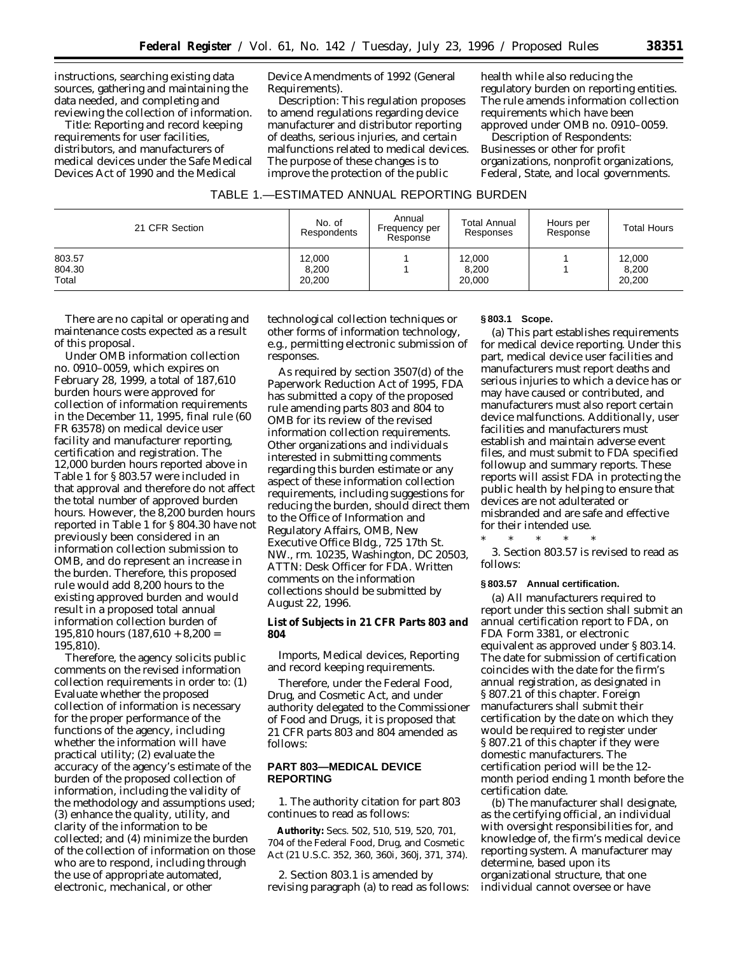instructions, searching existing data sources, gathering and maintaining the data needed, and completing and reviewing the collection of information.

*Title:* Reporting and record keeping requirements for user facilities, distributors, and manufacturers of medical devices under the Safe Medical Devices Act of 1990 and the Medical

Device Amendments of 1992 (General Requirements).

*Description:* This regulation proposes to amend regulations regarding device manufacturer and distributor reporting of deaths, serious injuries, and certain malfunctions related to medical devices. The purpose of these changes is to improve the protection of the public

health while also reducing the regulatory burden on reporting entities. The rule amends information collection requirements which have been approved under OMB no. 0910–0059.

*Description of Respondents:* Businesses or other for profit organizations, nonprofit organizations, Federal, State, and local governments.

### TABLE 1.—ESTIMATED ANNUAL REPORTING BURDEN

| 21 CFR Section            | No. of<br>Respondents     | Annual<br>Frequency per<br>Response | <b>Total Annual</b><br>Responses | Hours per<br>Response | <b>Total Hours</b>        |
|---------------------------|---------------------------|-------------------------------------|----------------------------------|-----------------------|---------------------------|
| 803.57<br>804.30<br>Total | 12,000<br>8,200<br>20,200 |                                     | 12,000<br>8,200<br>20,000        |                       | 12,000<br>8,200<br>20,200 |

There are no capital or operating and maintenance costs expected as a result of this proposal.

Under OMB information collection no. 0910–0059, which expires on February 28, 1999, a total of 187,610 burden hours were approved for collection of information requirements in the December 11, 1995, final rule (60 FR 63578) on medical device user facility and manufacturer reporting, certification and registration. The 12,000 burden hours reported above in Table 1 for § 803.57 were included in that approval and therefore do not affect the total number of approved burden hours. However, the 8,200 burden hours reported in Table 1 for § 804.30 have not previously been considered in an information collection submission to OMB, and do represent an increase in the burden. Therefore, this proposed rule would add 8,200 hours to the existing approved burden and would result in a proposed total annual information collection burden of  $195,810$  hours  $(187,610 + 8,200 =$ 195,810).

Therefore, the agency solicits public comments on the revised information collection requirements in order to: (1) Evaluate whether the proposed collection of information is necessary for the proper performance of the functions of the agency, including whether the information will have practical utility; (2) evaluate the accuracy of the agency's estimate of the burden of the proposed collection of information, including the validity of the methodology and assumptions used; (3) enhance the quality, utility, and clarity of the information to be collected; and (4) minimize the burden of the collection of information on those who are to respond, including through the use of appropriate automated, electronic, mechanical, or other

technological collection techniques or other forms of information technology, e.g., permitting electronic submission of responses.

As required by section 3507(d) of the Paperwork Reduction Act of 1995, FDA has submitted a copy of the proposed rule amending parts 803 and 804 to OMB for its review of the revised information collection requirements. Other organizations and individuals interested in submitting comments regarding this burden estimate or any aspect of these information collection requirements, including suggestions for reducing the burden, should direct them to the Office of Information and Regulatory Affairs, OMB, New Executive Office Bldg., 725 17th St. NW., rm. 10235, Washington, DC 20503, ATTN: Desk Officer for FDA. Written comments on the information collections should be submitted by August 22, 1996.

**List of Subjects in 21 CFR Parts 803 and 804**

Imports, Medical devices, Reporting and record keeping requirements.

Therefore, under the Federal Food, Drug, and Cosmetic Act, and under authority delegated to the Commissioner of Food and Drugs, it is proposed that 21 CFR parts 803 and 804 amended as follows:

### **PART 803—MEDICAL DEVICE REPORTING**

1. The authority citation for part 803 continues to read as follows:

**Authority:** Secs. 502, 510, 519, 520, 701, 704 of the Federal Food, Drug, and Cosmetic Act (21 U.S.C. 352, 360, 360i, 360j, 371, 374).

2. Section 803.1 is amended by revising paragraph (a) to read as follows:

### **§ 803.1 Scope.**

(a) This part establishes requirements for medical device reporting. Under this part, medical device user facilities and manufacturers must report deaths and serious injuries to which a device has or may have caused or contributed, and manufacturers must also report certain device malfunctions. Additionally, user facilities and manufacturers must establish and maintain adverse event files, and must submit to FDA specified followup and summary reports. These reports will assist FDA in protecting the public health by helping to ensure that devices are not adulterated or misbranded and are safe and effective for their intended use.

\* \* \* \* \* 3. Section 803.57 is revised to read as

follows:

### **§ 803.57 Annual certification.**

(a) All manufacturers required to report under this section shall submit an annual certification report to FDA, on FDA Form 3381, or electronic equivalent as approved under § 803.14. The date for submission of certification coincides with the date for the firm's annual registration, as designated in § 807.21 of this chapter. Foreign manufacturers shall submit their certification by the date on which they would be required to register under § 807.21 of this chapter if they were domestic manufacturers. The certification period will be the 12 month period ending 1 month before the certification date.

(b) The manufacturer shall designate, as the certifying official, an individual with oversight responsibilities for, and knowledge of, the firm's medical device reporting system. A manufacturer may determine, based upon its organizational structure, that one individual cannot oversee or have